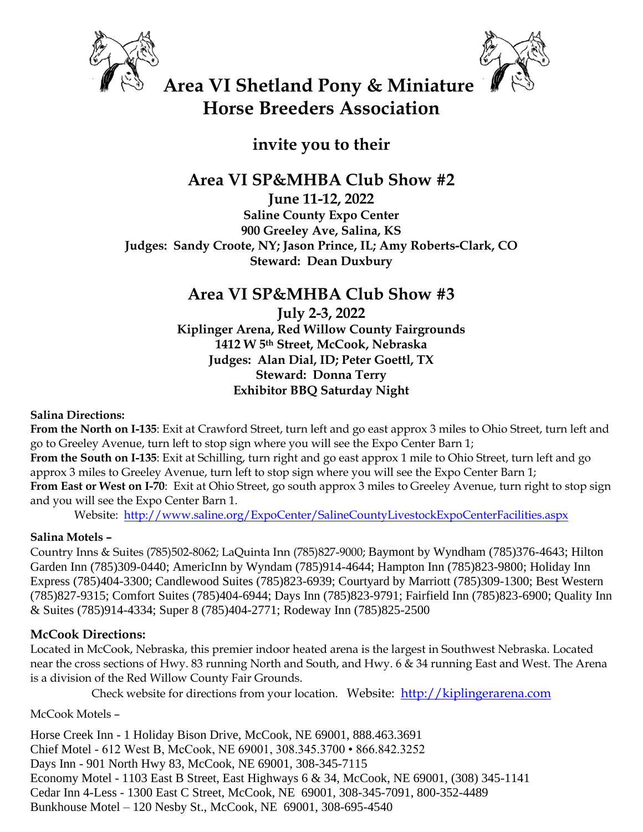



## **Area VI Shetland Pony & Miniature Horse Breeders Association**

**invite you to their**

## **Area VI SP&MHBA Club Show #2**

**June 11-12, 2022 Saline County Expo Center 900 Greeley Ave, Salina, KS Judges: Sandy Croote, NY; Jason Prince, IL; Amy Roberts-Clark, CO Steward: Dean Duxbury**

## **Area VI SP&MHBA Club Show #3**

**July 2-3, 2022 Kiplinger Arena, Red Willow County Fairgrounds 1412 W 5th Street, McCook, Nebraska Judges: Alan Dial, ID; Peter Goettl, TX Steward: Donna Terry Exhibitor BBQ Saturday Night**

**Salina Directions:**

**From the North on I-135**: Exit at Crawford Street, turn left and go east approx 3 miles to Ohio Street, turn left and go to Greeley Avenue, turn left to stop sign where you will see the Expo Center Barn 1; **From the South on I-135**: Exit at Schilling, turn right and go east approx 1 mile to Ohio Street, turn left and go approx 3 miles to Greeley Avenue, turn left to stop sign where you will see the Expo Center Barn 1; **From East or West on I-70**: Exit at Ohio Street, go south approx 3 miles to Greeley Avenue, turn right to stop sign and you will see the Expo Center Barn 1.

Website: <http://www.saline.org/ExpoCenter/SalineCountyLivestockExpoCenterFacilities.aspx>

### **Salina Motels –**

Country Inns & Suites (785)502-8062; LaQuinta Inn (785)827-9000; Baymont by Wyndham (785)376-4643; Hilton Garden Inn (785)309-0440; AmericInn by Wyndam (785)914-4644; Hampton Inn (785)823-9800; Holiday Inn Express (785)404-3300; Candlewood Suites (785)823-6939; Courtyard by Marriott (785)309-1300; Best Western (785)827-9315; Comfort Suites (785)404-6944; Days Inn (785)823-9791; Fairfield Inn (785)823-6900; Quality Inn & Suites (785)914-4334; Super 8 (785)404-2771; Rodeway Inn (785)825-2500

### **McCook Directions:**

Located in McCook, Nebraska, this premier indoor heated arena is the largest in Southwest Nebraska. Located near the cross sections of Hwy. 83 running North and South, and Hwy. 6 & 34 running East and West. The Arena is a division of the Red Willow County Fair Grounds.

Check website for directions from your location. Website: [http://kiplingerarena.com](http://kiplingerarena.com/)

McCook Motels –

Horse Creek Inn - 1 Holiday Bison Drive, McCook, NE 69001, 888.463.3691 Chief Motel - 612 West B, McCook, NE 69001, 308.345.3700 • 866.842.3252 Days Inn - 901 North Hwy 83, McCook, NE 69001, 308-345-7115 Economy Motel - 1103 East B Street, East Highways 6 & 34, McCook, NE 69001, (308) 345-1141 Cedar Inn 4-Less - 1300 East C Street, McCook, NE 69001, 308-345-7091, 800-352-4489 Bunkhouse Motel – 120 Nesby St., McCook, NE 69001, 308-695-4540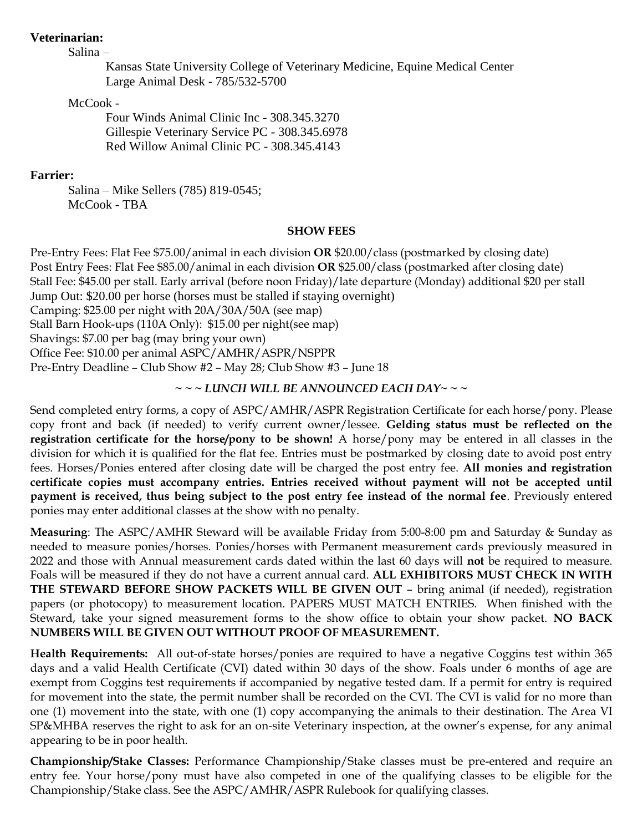#### **Veterinarian:**

Salina –

Kansas State University College of Veterinary Medicine, Equine Medical Center Large Animal Desk - 785/532-5700

#### McCook -

Four Winds Animal Clinic Inc - 308.345.3270 Gillespie Veterinary Service PC - 308.345.6978 Red Willow Animal Clinic PC - 308.345.4143

### **Farrier:**

Salina – Mike Sellers (785) 819-0545; McCook - TBA

#### **SHOW FEES**

Pre-Entry Fees: Flat Fee \$75.00/animal in each division **OR** \$20.00/class (postmarked by closing date) Post Entry Fees: Flat Fee \$85.00/animal in each division **OR** \$25.00/class (postmarked after closing date) Stall Fee: \$45.00 per stall. Early arrival (before noon Friday)/late departure (Monday) additional \$20 per stall Jump Out: \$20.00 per horse (horses must be stalled if staying overnight) Camping: \$25.00 per night with 20A/30A/50A (see map) Stall Barn Hook-ups (110A Only): \$15.00 per night(see map) Shavings: \$7.00 per bag (may bring your own) Office Fee: \$10.00 per animal ASPC/AMHR/ASPR/NSPPR Pre-Entry Deadline – Club Show #2 – May 28; Club Show #3 – June 18

*~ ~ ~ LUNCH WILL BE ANNOUNCED EACH DAY~ ~ ~*

Send completed entry forms, a copy of ASPC/AMHR/ASPR Registration Certificate for each horse/pony. Please copy front and back (if needed) to verify current owner/lessee. **Gelding status must be reflected on the registration certificate for the horse/pony to be shown!** A horse/pony may be entered in all classes in the division for which it is qualified for the flat fee. Entries must be postmarked by closing date to avoid post entry fees. Horses/Ponies entered after closing date will be charged the post entry fee. **All monies and registration certificate copies must accompany entries. Entries received without payment will not be accepted until payment is received, thus being subject to the post entry fee instead of the normal fee**. Previously entered ponies may enter additional classes at the show with no penalty.

**Measuring**: The ASPC/AMHR Steward will be available Friday from 5:00-8:00 pm and Saturday & Sunday as needed to measure ponies/horses. Ponies/horses with Permanent measurement cards previously measured in 2022 and those with Annual measurement cards dated within the last 60 days will **not** be required to measure. Foals will be measured if they do not have a current annual card. **ALL EXHIBITORS MUST CHECK IN WITH THE STEWARD BEFORE SHOW PACKETS WILL BE GIVEN OUT** – bring animal (if needed), registration papers (or photocopy) to measurement location. PAPERS MUST MATCH ENTRIES. When finished with the Steward, take your signed measurement forms to the show office to obtain your show packet. **NO BACK NUMBERS WILL BE GIVEN OUT WITHOUT PROOF OF MEASUREMENT.**

**Health Requirements:** All out-of-state horses/ponies are required to have a negative Coggins test within 365 days and a valid Health Certificate (CVI) dated within 30 days of the show. Foals under 6 months of age are exempt from Coggins test requirements if accompanied by negative tested dam. If a permit for entry is required for movement into the state, the permit number shall be recorded on the CVI. The CVI is valid for no more than one (1) movement into the state, with one (1) copy accompanying the animals to their destination. The Area VI SP&MHBA reserves the right to ask for an on-site Veterinary inspection, at the owner's expense, for any animal appearing to be in poor health.

**Championship/Stake Classes:** Performance Championship/Stake classes must be pre-entered and require an entry fee. Your horse/pony must have also competed in one of the qualifying classes to be eligible for the Championship/Stake class. See the ASPC/AMHR/ASPR Rulebook for qualifying classes.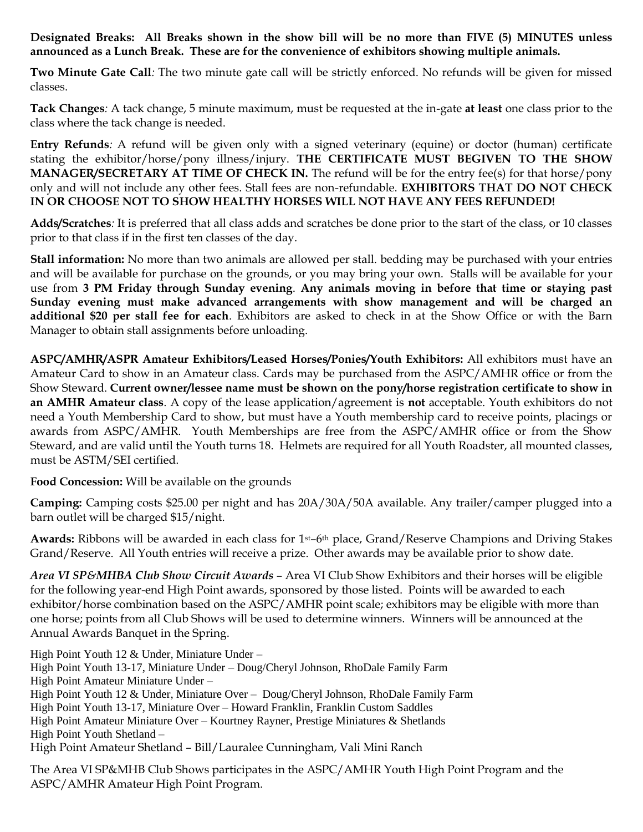**Designated Breaks: All Breaks shown in the show bill will be no more than FIVE (5) MINUTES unless announced as a Lunch Break. These are for the convenience of exhibitors showing multiple animals.**

**Two Minute Gate Call***:* The two minute gate call will be strictly enforced. No refunds will be given for missed classes.

**Tack Changes***:* A tack change, 5 minute maximum, must be requested at the in-gate **at least** one class prior to the class where the tack change is needed.

**Entry Refunds***:* A refund will be given only with a signed veterinary (equine) or doctor (human) certificate stating the exhibitor/horse/pony illness/injury. **THE CERTIFICATE MUST BEGIVEN TO THE SHOW MANAGER/SECRETARY AT TIME OF CHECK IN.** The refund will be for the entry fee(s) for that horse/pony only and will not include any other fees. Stall fees are non-refundable. **EXHIBITORS THAT DO NOT CHECK IN OR CHOOSE NOT TO SHOW HEALTHY HORSES WILL NOT HAVE ANY FEES REFUNDED!** 

**Adds/Scratches***:* It is preferred that all class adds and scratches be done prior to the start of the class, or 10 classes prior to that class if in the first ten classes of the day.

**Stall information:** No more than two animals are allowed per stall. bedding may be purchased with your entries and will be available for purchase on the grounds, or you may bring your own. Stalls will be available for your use from **3 PM Friday through Sunday evening**. **Any animals moving in before that time or staying past Sunday evening must make advanced arrangements with show management and will be charged an additional \$20 per stall fee for each**. Exhibitors are asked to check in at the Show Office or with the Barn Manager to obtain stall assignments before unloading.

**ASPC/AMHR/ASPR Amateur Exhibitors/Leased Horses/Ponies/Youth Exhibitors:** All exhibitors must have an Amateur Card to show in an Amateur class. Cards may be purchased from the ASPC/AMHR office or from the Show Steward. **Current owner/lessee name must be shown on the pony/horse registration certificate to show in an AMHR Amateur class**. A copy of the lease application/agreement is **not** acceptable. Youth exhibitors do not need a Youth Membership Card to show, but must have a Youth membership card to receive points, placings or awards from ASPC/AMHR. Youth Memberships are free from the ASPC/AMHR office or from the Show Steward, and are valid until the Youth turns 18. Helmets are required for all Youth Roadster, all mounted classes, must be ASTM/SEI certified.

**Food Concession:** Will be available on the grounds

**Camping:** Camping costs \$25.00 per night and has 20A/30A/50A available. Any trailer/camper plugged into a barn outlet will be charged \$15/night.

**Awards:** Ribbons will be awarded in each class for 1st–6th place, Grand/Reserve Champions and Driving Stakes Grand/Reserve. All Youth entries will receive a prize. Other awards may be available prior to show date.

*Area VI SP&MHBA Club Show Circuit Awards* – Area VI Club Show Exhibitors and their horses will be eligible for the following year-end High Point awards, sponsored by those listed. Points will be awarded to each exhibitor/horse combination based on the ASPC/AMHR point scale; exhibitors may be eligible with more than one horse; points from all Club Shows will be used to determine winners. Winners will be announced at the Annual Awards Banquet in the Spring.

High Point Youth 12 & Under, Miniature Under – High Point Youth 13-17, Miniature Under – Doug/Cheryl Johnson, RhoDale Family Farm High Point Amateur Miniature Under – High Point Youth 12 & Under, Miniature Over – Doug/Cheryl Johnson, RhoDale Family Farm High Point Youth 13-17, Miniature Over – Howard Franklin, Franklin Custom Saddles High Point Amateur Miniature Over – Kourtney Rayner, Prestige Miniatures & Shetlands High Point Youth Shetland – High Point Amateur Shetland – Bill/Lauralee Cunningham, Vali Mini Ranch

The Area VI SP&MHB Club Shows participates in the ASPC/AMHR Youth High Point Program and the ASPC/AMHR Amateur High Point Program.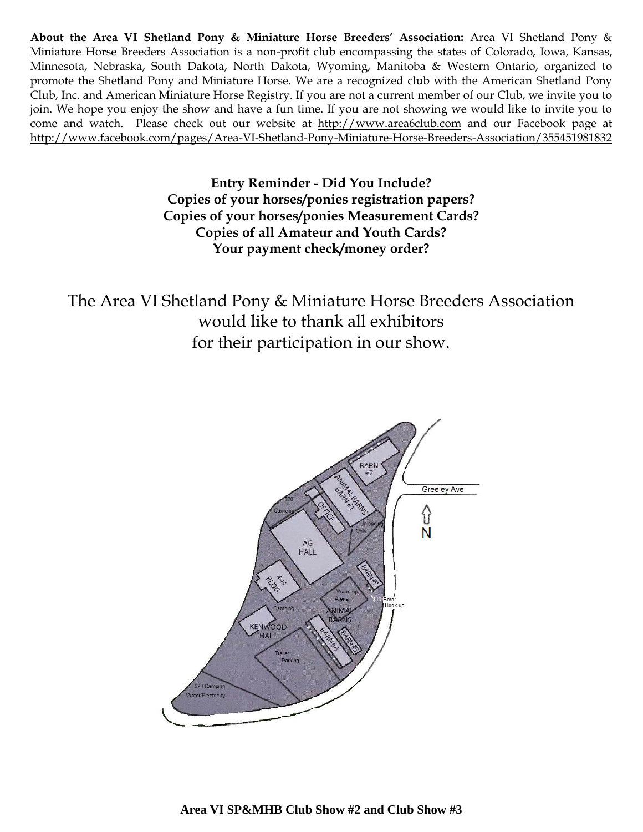**About the Area VI Shetland Pony & Miniature Horse Breeders' Association:** Area VI Shetland Pony & Miniature Horse Breeders Association is a non-profit club encompassing the states of Colorado, Iowa, Kansas, Minnesota, Nebraska, South Dakota, North Dakota, Wyoming, Manitoba & Western Ontario, organized to promote the Shetland Pony and Miniature Horse. We are a recognized club with the American Shetland Pony Club, Inc. and American Miniature Horse Registry. If you are not a current member of our Club, we invite you to join. We hope you enjoy the show and have a fun time. If you are not showing we would like to invite you to come and watch. Please check out our website at [http://www.area6club.com](http://www.area6club.com/) and our Facebook page at <http://www.facebook.com/pages/Area-VI-Shetland-Pony-Miniature-Horse-Breeders-Association/355451981832>

> **Entry Reminder - Did You Include? Copies of your horses/ponies registration papers? Copies of your horses/ponies Measurement Cards? Copies of all Amateur and Youth Cards? Your payment check/money order?**

The Area VI Shetland Pony & Miniature Horse Breeders Association would like to thank all exhibitors for their participation in our show.

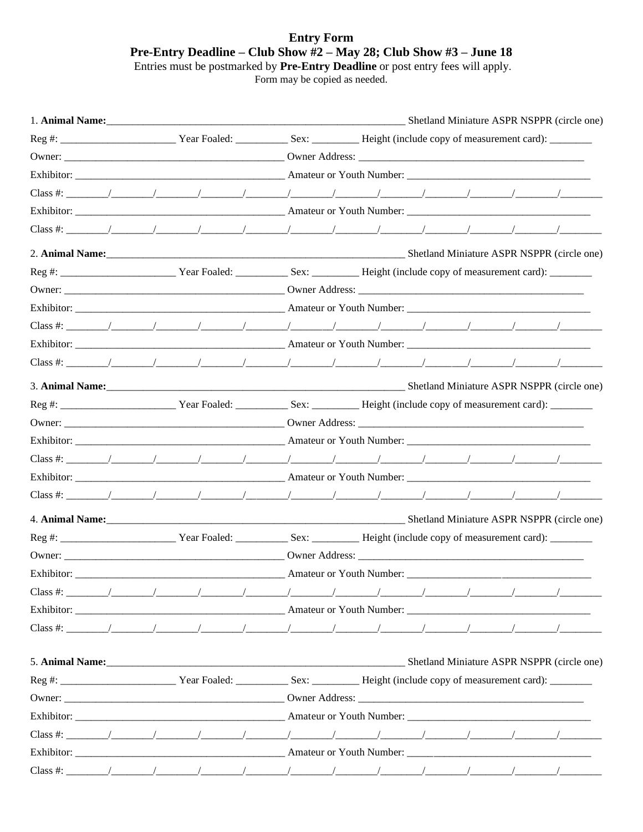# **Entry Form Pre-Entry Deadline – Club Show**  $#2$  **– May 28; Club Show**  $#3$  **– June 18**<br>Entries must be postmarked by **Pre-Entry Deadline** or post entry fees will apply.<br>Form may be copied as needed.

| 1. Animal Name: Circle one) Shetland Miniature ASPR NSPPR (circle one)                                                                                                                                                                                   |  |  |  |  |                                            |
|----------------------------------------------------------------------------------------------------------------------------------------------------------------------------------------------------------------------------------------------------------|--|--|--|--|--------------------------------------------|
|                                                                                                                                                                                                                                                          |  |  |  |  |                                            |
|                                                                                                                                                                                                                                                          |  |  |  |  |                                            |
|                                                                                                                                                                                                                                                          |  |  |  |  |                                            |
|                                                                                                                                                                                                                                                          |  |  |  |  |                                            |
|                                                                                                                                                                                                                                                          |  |  |  |  |                                            |
|                                                                                                                                                                                                                                                          |  |  |  |  |                                            |
| 2. Animal Name: Shetland Miniature ASPR NSPPR (circle one)                                                                                                                                                                                               |  |  |  |  |                                            |
|                                                                                                                                                                                                                                                          |  |  |  |  |                                            |
|                                                                                                                                                                                                                                                          |  |  |  |  |                                            |
|                                                                                                                                                                                                                                                          |  |  |  |  |                                            |
|                                                                                                                                                                                                                                                          |  |  |  |  |                                            |
|                                                                                                                                                                                                                                                          |  |  |  |  |                                            |
|                                                                                                                                                                                                                                                          |  |  |  |  |                                            |
|                                                                                                                                                                                                                                                          |  |  |  |  |                                            |
|                                                                                                                                                                                                                                                          |  |  |  |  |                                            |
|                                                                                                                                                                                                                                                          |  |  |  |  |                                            |
|                                                                                                                                                                                                                                                          |  |  |  |  |                                            |
|                                                                                                                                                                                                                                                          |  |  |  |  |                                            |
|                                                                                                                                                                                                                                                          |  |  |  |  |                                            |
|                                                                                                                                                                                                                                                          |  |  |  |  |                                            |
|                                                                                                                                                                                                                                                          |  |  |  |  |                                            |
|                                                                                                                                                                                                                                                          |  |  |  |  |                                            |
|                                                                                                                                                                                                                                                          |  |  |  |  |                                            |
|                                                                                                                                                                                                                                                          |  |  |  |  |                                            |
|                                                                                                                                                                                                                                                          |  |  |  |  |                                            |
|                                                                                                                                                                                                                                                          |  |  |  |  |                                            |
| Class #: $\qquad \qquad / \qquad \qquad / \qquad \qquad / \qquad \qquad / \qquad \qquad / \qquad \qquad / \qquad \qquad / \qquad \qquad / \qquad \qquad / \qquad \qquad / \qquad \qquad / \qquad \qquad / \qquad \qquad / \qquad \qquad / \qquad \qquad$ |  |  |  |  |                                            |
|                                                                                                                                                                                                                                                          |  |  |  |  |                                            |
|                                                                                                                                                                                                                                                          |  |  |  |  | Shetland Miniature ASPR NSPPR (circle one) |
|                                                                                                                                                                                                                                                          |  |  |  |  |                                            |
|                                                                                                                                                                                                                                                          |  |  |  |  |                                            |
| Class #: $\frac{1}{2}$ $\frac{1}{2}$ $\frac{1}{2}$ $\frac{1}{2}$ $\frac{1}{2}$ $\frac{1}{2}$ $\frac{1}{2}$ $\frac{1}{2}$ $\frac{1}{2}$ $\frac{1}{2}$                                                                                                     |  |  |  |  |                                            |
|                                                                                                                                                                                                                                                          |  |  |  |  |                                            |
|                                                                                                                                                                                                                                                          |  |  |  |  |                                            |
|                                                                                                                                                                                                                                                          |  |  |  |  |                                            |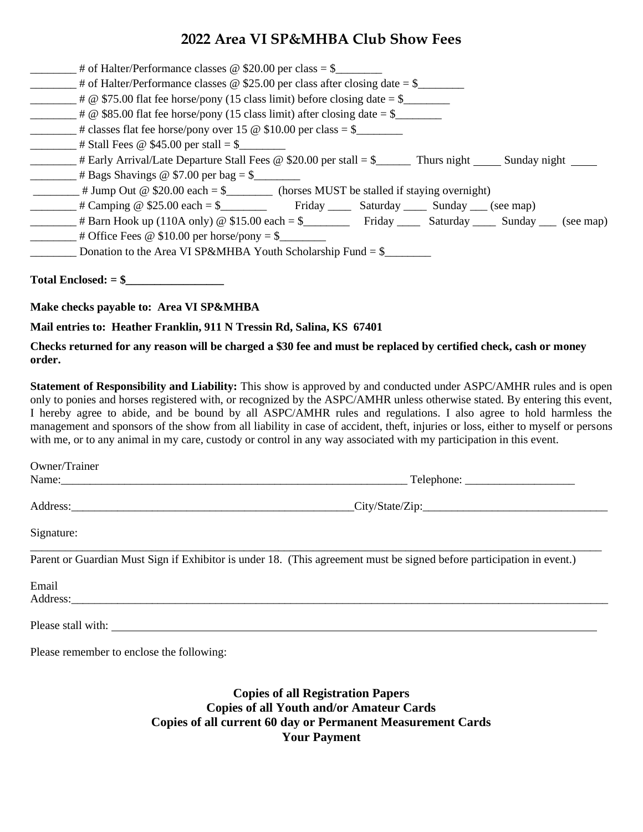## **2022 Area VI SP&MHBA Club Show Fees**

| # of Halter/Performance classes @ \$20.00 per class = $\$                                                       |
|-----------------------------------------------------------------------------------------------------------------|
| # of Halter/Performance classes $\omega$ \$25.00 per class after closing date = \$                              |
| # $\omega$ \$75.00 flat fee horse/pony (15 class limit) before closing date = \$                                |
| # @ \$85.00 flat fee horse/pony (15 class limit) after closing date = $\frac{1}{2}$                             |
| # classes flat fee horse/pony over 15 $\omega$ \$10.00 per class = \$                                           |
| # Stall Fees $\omega$ \$45.00 per stall = \$                                                                    |
| # Early Arrival/Late Departure Stall Fees @ \$20.00 per stall $=\$ \$                                           |
| # Bags Shavings @ \$7.00 per bag = \$                                                                           |
| # Jump Out $\circ$ \$20.00 each = \$____________ (horses MUST be stalled if staying overnight)                  |
|                                                                                                                 |
| # Barn Hook up (110A only) @ \$15.00 each = \$____________ Friday _______ Saturday ______ Sunday ____ (see map) |
| # Office Fees $\circledcirc$ \$10.00 per horse/pony = \$                                                        |
| Donation to the Area VI SP&MHBA Youth Scholarship Fund = $\frac{1}{2}$                                          |
|                                                                                                                 |

**Total Enclosed: = \$\_\_\_\_\_\_\_\_\_\_\_\_\_\_\_\_\_**

**Make checks payable to: Area VI SP&MHBA**

**Mail entries to: Heather Franklin, 911 N Tressin Rd, Salina, KS 67401**

**Checks returned for any reason will be charged a \$30 fee and must be replaced by certified check, cash or money order.**

**Statement of Responsibility and Liability:** This show is approved by and conducted under ASPC/AMHR rules and is open only to ponies and horses registered with, or recognized by the ASPC/AMHR unless otherwise stated. By entering this event, I hereby agree to abide, and be bound by all ASPC/AMHR rules and regulations. I also agree to hold harmless the management and sponsors of the show from all liability in case of accident, theft, injuries or loss, either to myself or persons with me, or to any animal in my care, custody or control in any way associated with my participation in this event.

| Owner/Trainer                                                                                                                                                                                                                 |                                                  |
|-------------------------------------------------------------------------------------------------------------------------------------------------------------------------------------------------------------------------------|--------------------------------------------------|
| Name: Name and the second contract of the second contract of the second contract of the second contract of the second contract of the second contract of the second contract of the second contract of the second contract of | $\begin{array}{c} \text{Telephone:} \end{array}$ |
|                                                                                                                                                                                                                               | Address: City/State/Zip: City/State/Zip:         |
| Signature:                                                                                                                                                                                                                    |                                                  |
| Parent or Guardian Must Sign if Exhibitor is under 18. (This agreement must be signed before participation in event.)                                                                                                         |                                                  |
| Email                                                                                                                                                                                                                         |                                                  |
|                                                                                                                                                                                                                               |                                                  |
| Please stall with:                                                                                                                                                                                                            |                                                  |

Please remember to enclose the following:

**Copies of all Registration Papers Copies of all Youth and/or Amateur Cards Copies of all current 60 day or Permanent Measurement Cards Your Payment**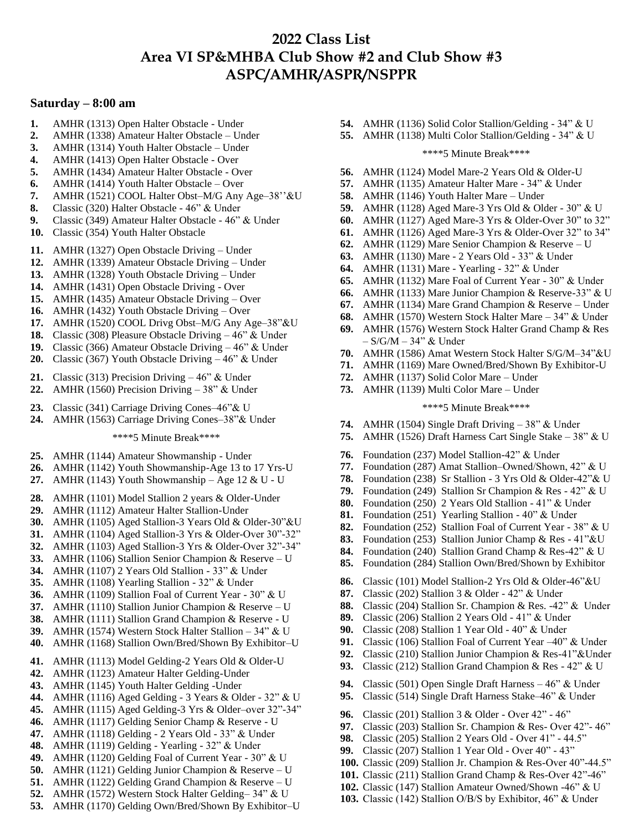## **2022 Class List Area VI SP&MHBA Club Show #2 and Club Show #3 ASPC/AMHR/ASPR/NSPPR**

#### **Saturday – 8:00 am**

- **1.** AMHR (1313) Open Halter Obstacle Under
- **2.** AMHR (1338) Amateur Halter Obstacle Under
- **3.** AMHR (1314) Youth Halter Obstacle Under
- **4.** AMHR (1413) Open Halter Obstacle Over
- **5.** AMHR (1434) Amateur Halter Obstacle Over
- **6.** AMHR (1414) Youth Halter Obstacle Over
- **7.** AMHR (1521) COOL Halter Obst–M/G Any Age–38''&U
- **8.** Classic (320) Halter Obstacle 46" & Under
- **9.** Classic (349) Amateur Halter Obstacle 46" & Under
- **10.** Classic (354) Youth Halter Obstacle
- **11.** AMHR (1327) Open Obstacle Driving Under
- **12.** AMHR (1339) Amateur Obstacle Driving Under
- **13.** AMHR (1328) Youth Obstacle Driving Under
- **14.** AMHR (1431) Open Obstacle Driving Over
- **15.** AMHR (1435) Amateur Obstacle Driving Over
- **16.** AMHR (1432) Youth Obstacle Driving Over
- **17.** AMHR (1520) COOL Drivg Obst–M/G Any Age–38"&U
- **18.** Classic (308) Pleasure Obstacle Driving 46" & Under
- **19.** Classic (366) Amateur Obstacle Driving 46" & Under
- **20.** Classic (367) Youth Obstacle Driving 46" & Under
- **21.** Classic (313) Precision Driving 46" & Under
- **22.** AMHR (1560) Precision Driving 38" & Under
- **23.** Classic (341) Carriage Driving Cones–46"& U
- **24.** AMHR (1563) Carriage Driving Cones–38"& Under

\*\*\*\*5 Minute Break\*\*\*\*

- **25.** AMHR (1144) Amateur Showmanship Under
- **26.** AMHR (1142) Youth Showmanship-Age 13 to 17 Yrs-U
- **27.** AMHR (1143) Youth Showmanship Age 12 & U U
- **28.** AMHR (1101) Model Stallion 2 years & Older-Under
- **29.** AMHR (1112) Amateur Halter Stallion-Under
- **30.** AMHR (1105) Aged Stallion-3 Years Old & Older-30"&U
- **31.** AMHR (1104) Aged Stallion-3 Yrs & Older-Over 30"-32"
- **32.** AMHR (1103) Aged Stallion-3 Yrs & Older-Over 32"-34"
- **33.** AMHR (1106) Stallion Senior Champion & Reserve U
- **34.** AMHR (1107) 2 Years Old Stallion 33" & Under
- **35.** AMHR (1108) Yearling Stallion 32" & Under
- **36.** AMHR (1109) Stallion Foal of Current Year 30" & U
- **37.** AMHR (1110) Stallion Junior Champion & Reserve U
- **38.** AMHR (1111) Stallion Grand Champion & Reserve U
- **39.** AMHR (1574) Western Stock Halter Stallion 34" & U
- **40.** AMHR (1168) Stallion Own/Bred/Shown By Exhibitor–U
- **41.** AMHR (1113) Model Gelding-2 Years Old & Older-U
- **42.** AMHR (1123) Amateur Halter Gelding-Under
- **43.** AMHR (1145) Youth Halter Gelding -Under
- **44.** AMHR (1116) Aged Gelding 3 Years & Older 32" & U
- **45.** AMHR (1115) Aged Gelding-3 Yrs & Older–over 32"-34"
- **46.** AMHR (1117) Gelding Senior Champ & Reserve U
- **47.** AMHR (1118) Gelding 2 Years Old 33" & Under
- **48.** AMHR (1119) Gelding Yearling 32" & Under
- **49.** AMHR (1120) Gelding Foal of Current Year 30" & U
- **50.** AMHR (1121) Gelding Junior Champion & Reserve U
- **51.** AMHR (1122) Gelding Grand Champion & Reserve U
- **52.** AMHR (1572) Western Stock Halter Gelding– 34" & U
- **53.** AMHR (1170) Gelding Own/Bred/Shown By Exhibitor–U
- **54.** AMHR (1136) Solid Color Stallion/Gelding 34" & U
- **55.** AMHR (1138) Multi Color Stallion/Gelding 34" & U

#### \*\*\*\*5 Minute Break\*\*\*\*

- **56.** AMHR (1124) Model Mare-2 Years Old & Older-U
- **57.** AMHR (1135) Amateur Halter Mare 34" & Under
- **58.** AMHR (1146) Youth Halter Mare Under
- **59.** AMHR (1128) Aged Mare-3 Yrs Old & Older 30" & U
- **60.** AMHR (1127) Aged Mare-3 Yrs & Older-Over 30" to 32"
- **61.** AMHR (1126) Aged Mare-3 Yrs & Older-Over 32" to 34"
- **62.** AMHR (1129) Mare Senior Champion & Reserve U
- **63.** AMHR (1130) Mare 2 Years Old 33" & Under
- **64.** AMHR (1131) Mare Yearling 32" & Under
- **65.** AMHR (1132) Mare Foal of Current Year 30" & Under
- **66.** AMHR (1133) Mare Junior Champion & Reserve-33" & U
- **67.** AMHR (1134) Mare Grand Champion & Reserve Under
- **68.** AMHR (1570) Western Stock Halter Mare 34" & Under
- **69.** AMHR (1576) Western Stock Halter Grand Champ & Res – S/G/M – 34" & Under
- **70.** AMHR (1586) Amat Western Stock Halter S/G/M–34"&U
- **71.** AMHR (1169) Mare Owned/Bred/Shown By Exhibitor-U
- **72.** AMHR (1137) Solid Color Mare Under
- **73.** AMHR (1139) Multi Color Mare Under

#### \*\*\*\*5 Minute Break\*\*\*\*

- **74.** AMHR (1504) Single Draft Driving 38" & Under
- **75.** AMHR (1526) Draft Harness Cart Single Stake 38" & U
- **76.** Foundation (237) Model Stallion-42" & Under
- **77.** Foundation (287) Amat Stallion–Owned/Shown, 42" & U
- **78.** Foundation (238) Sr Stallion 3 Yrs Old & Older-42"& U
- **79.** Foundation (249) Stallion Sr Champion & Res 42" & U
- **80.** Foundation (250) 2 Years Old Stallion 41" & Under
- **81.** Foundation (251) Yearling Stallion 40" & Under
- **82.** Foundation (252) Stallion Foal of Current Year 38" & U
- **83.** Foundation (253) Stallion Junior Champ & Res 41"&U
- **84.** Foundation (240) Stallion Grand Champ & Res-42" & U
- **85.** Foundation (284) Stallion Own/Bred/Shown by Exhibitor
- **86.** Classic (101) Model Stallion-2 Yrs Old & Older-46"&U
- **87.** Classic (202) Stallion 3 & Older 42" & Under
- **88.** Classic (204) Stallion Sr. Champion & Res. -42" & Under
- **89.** Classic (206) Stallion 2 Years Old 41" & Under
- **90.** Classic (208) Stallion 1 Year Old 40" & Under

**96.** Classic (201) Stallion 3 & Older - Over 42" - 46"

- **91.** Classic (106) Stallion Foal of Current Year –40" & Under
- **92.** Classic (210) Stallion Junior Champion & Res-41"&Under
- **93.** Classic (212) Stallion Grand Champion & Res 42" & U
- **94.** Classic (501) Open Single Draft Harness 46" & Under
- **95.** Classic (514) Single Draft Harness Stake–46" & Under

**97.** Classic (203) Stallion Sr. Champion & Res- Over 42"- 46" **98.** Classic (205) Stallion 2 Years Old - Over 41" - 44.5" **99.** Classic (207) Stallion 1 Year Old - Over 40" - 43"

**100.** Classic (209) Stallion Jr. Champion & Res-Over 40"-44.5" **101.** Classic (211) Stallion Grand Champ & Res-Over 42"-46" **102.** Classic (147) Stallion Amateur Owned/Shown -46" & U **103.** Classic (142) Stallion O/B/S by Exhibitor, 46" & Under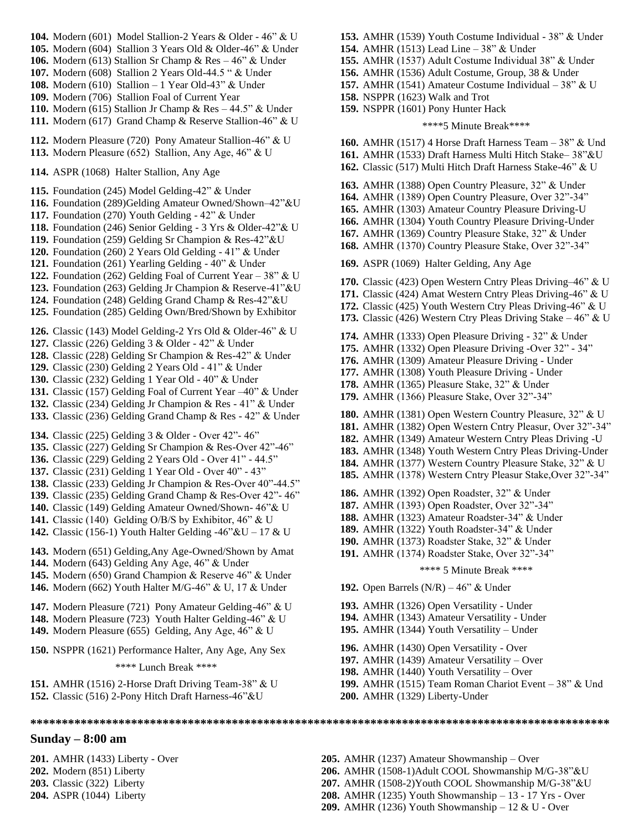- **104.** Modern (601) Model Stallion-2 Years & Older 46" & U
- **105.** Modern (604) Stallion 3 Years Old & Older-46" & Under
- **106.** Modern (613) Stallion Sr Champ & Res 46" & Under
- **107.** Modern (608) Stallion 2 Years Old-44.5 " & Under
- **108.** Modern (610) Stallion 1 Year Old-43" & Under
- **109.** Modern (706) Stallion Foal of Current Year
- **110.** Modern (615) Stallion Jr Champ & Res 44.5" & Under
- **111.** Modern (617) Grand Champ & Reserve Stallion-46" & U
- **112.** Modern Pleasure (720) Pony Amateur Stallion-46" & U
- **113.** Modern Pleasure (652) Stallion, Any Age, 46" & U
- **114.** ASPR (1068) Halter Stallion, Any Age
- **115.** Foundation (245) Model Gelding-42" & Under
- **116.** Foundation (289)Gelding Amateur Owned/Shown–42"&U
- **117.** Foundation (270) Youth Gelding 42" & Under
- **118.** Foundation (246) Senior Gelding 3 Yrs & Older-42"& U
- **119.** Foundation (259) Gelding Sr Champion & Res-42"&U
- **120.** Foundation (260) 2 Years Old Gelding 41" & Under
- **121.** Foundation (261) Yearling Gelding 40" & Under
- **122.** Foundation (262) Gelding Foal of Current Year 38" & U
- **123.** Foundation (263) Gelding Jr Champion & Reserve-41"&U
- **124.** Foundation (248) Gelding Grand Champ & Res-42"&U
- **125.** Foundation (285) Gelding Own/Bred/Shown by Exhibitor
- **126.** Classic (143) Model Gelding-2 Yrs Old & Older-46" & U
- **127.** Classic (226) Gelding 3 & Older 42" & Under
- **128.** Classic (228) Gelding Sr Champion & Res-42" & Under
- **129.** Classic (230) Gelding 2 Years Old 41" & Under
- **130.** Classic (232) Gelding 1 Year Old 40" & Under
- **131.** Classic (157) Gelding Foal of Current Year –40" & Under
- **132.** Classic (234) Gelding Jr Champion & Res 41" & Under
- **133.** Classic (236) Gelding Grand Champ & Res 42" & Under

**134.** Classic (225) Gelding 3 & Older - Over 42"- 46"

- **135.** Classic (227) Gelding Sr Champion & Res-Over 42"-46"
- **136.** Classic (229) Gelding 2 Years Old Over 41" 44.5"
- **137.** Classic (231) Gelding 1 Year Old Over 40" 43"
- **138.** Classic (233) Gelding Jr Champion & Res-Over 40"-44.5"
- **139.** Classic (235) Gelding Grand Champ & Res-Over 42"- 46"
- **140.** Classic (149) Gelding Amateur Owned/Shown- 46"& U
- **141.** Classic (140) Gelding O/B/S by Exhibitor, 46" & U
- **142.** Classic (156-1) Youth Halter Gelding -46"&U 17 & U
- **143.** Modern (651) Gelding,Any Age-Owned/Shown by Amat
- **144.** Modern (643) Gelding Any Age, 46" & Under
- **145.** Modern (650) Grand Champion & Reserve 46" & Under
- **146.** Modern (662) Youth Halter M/G-46" & U, 17 & Under
- **147.** Modern Pleasure (721) Pony Amateur Gelding-46" & U
- **148.** Modern Pleasure (723) Youth Halter Gelding-46" & U
- **149.** Modern Pleasure (655) Gelding, Any Age, 46" & U
- **150.** NSPPR (1621) Performance Halter, Any Age, Any Sex

\*\*\*\* Lunch Break \*\*\*\*

**151.** AMHR (1516) 2-Horse Draft Driving Team-38" & U **152.** Classic (516) 2-Pony Hitch Draft Harness-46"&U

#### **Sunday – 8:00 am**

**201.** AMHR (1433) Liberty - Over **202.** Modern (851) Liberty **203.** Classic (322) Liberty **204.** ASPR (1044) Liberty

- **153.** AMHR (1539) Youth Costume Individual 38" & Under
- **154.** AMHR (1513) Lead Line 38" & Under
- **155.** AMHR (1537) Adult Costume Individual 38" & Under
- **156.** AMHR (1536) Adult Costume, Group, 38 & Under
- **157.** AMHR (1541) Amateur Costume Individual  $-38$ " & U
- **158.** NSPPR (1623) Walk and Trot
- **159.** NSPPR (1601) Pony Hunter Hack

#### \*\*\*\*5 Minute Break\*\*\*\*

**160.** AMHR (1517) 4 Horse Draft Harness Team – 38" & Und **161.** AMHR (1533) Draft Harness Multi Hitch Stake– 38"&U **162.** Classic (517) Multi Hitch Draft Harness Stake-46" & U **163.** AMHR (1388) Open Country Pleasure, 32" & Under **164.** AMHR (1389) Open Country Pleasure, Over 32"-34" **165.** AMHR (1303) Amateur Country Pleasure Driving-U **166.** AMHR (1304) Youth Country Pleasure Driving-Under **167.** AMHR (1369) Country Pleasure Stake, 32" & Under **168.** AMHR (1370) Country Pleasure Stake, Over 32"-34" **169.** ASPR (1069) Halter Gelding, Any Age **170.** Classic (423) Open Western Cntry Pleas Driving–46" & U **171.** Classic (424) Amat Western Cntry Pleas Driving-46" & U **172.** Classic (425) Youth Western Ctry Pleas Driving-46" & U **173.** Classic (426) Western Ctry Pleas Driving Stake – 46" & U **174.** AMHR (1333) Open Pleasure Driving - 32" & Under **175.** AMHR (1332) Open Pleasure Driving -Over 32" - 34" **176.** AMHR (1309) Amateur Pleasure Driving - Under **177.** AMHR (1308) Youth Pleasure Driving - Under **178.** AMHR (1365) Pleasure Stake, 32" & Under **179.** AMHR (1366) Pleasure Stake, Over 32"-34" **180.** AMHR (1381) Open Western Country Pleasure, 32" & U **181.** AMHR (1382) Open Western Cntry Pleasur, Over 32"-34" **182.** AMHR (1349) Amateur Western Cntry Pleas Driving -U **183.** AMHR (1348) Youth Western Cntry Pleas Driving-Under **184.** AMHR (1377) Western Country Pleasure Stake, 32" & U **185.** AMHR (1378) Western Cntry Pleasur Stake,Over 32"-34" **186.** AMHR (1392) Open Roadster, 32" & Under **187.** AMHR (1393) Open Roadster, Over 32"-34" **188.** AMHR (1323) Amateur Roadster-34" & Under **189.** AMHR (1322) Youth Roadster-34" & Under **190.** AMHR (1373) Roadster Stake, 32" & Under **191.** AMHR (1374) Roadster Stake, Over 32"-34" \*\*\*\* 5 Minute Break \*\*\*\*

**192.** Open Barrels (N/R) – 46" & Under

**193.** AMHR (1326) Open Versatility - Under

- **194.** AMHR (1343) Amateur Versatility Under
- **195.** AMHR (1344) Youth Versatility Under

**196.** AMHR (1430) Open Versatility - Over

- **197.** AMHR (1439) Amateur Versatility Over
- **198.** AMHR (1440) Youth Versatility Over
- **199.** AMHR (1515) Team Roman Chariot Event 38" & Und
- **200.** AMHR (1329) Liberty-Under

**\*\*\*\*\*\*\*\*\*\*\*\*\*\*\*\*\*\*\*\*\*\*\*\*\*\*\*\*\*\*\*\*\*\*\*\*\*\*\*\*\*\*\*\*\*\*\*\*\*\*\*\*\*\*\*\*\*\*\*\*\*\*\*\*\*\*\*\*\*\*\*\*\*\*\*\*\*\*\*\*\*\*\*\*\*\*\*\*\*\*\*\***

**205.** AMHR (1237) Amateur Showmanship – Over **206.** AMHR (1508-1)Adult COOL Showmanship M/G-38"&U **207.** AMHR (1508-2)Youth COOL Showmanship M/G-38"&U **208.** AMHR (1235) Youth Showmanship – 13 - 17 Yrs - Over **209.** AMHR (1236) Youth Showmanship – 12 & U - Over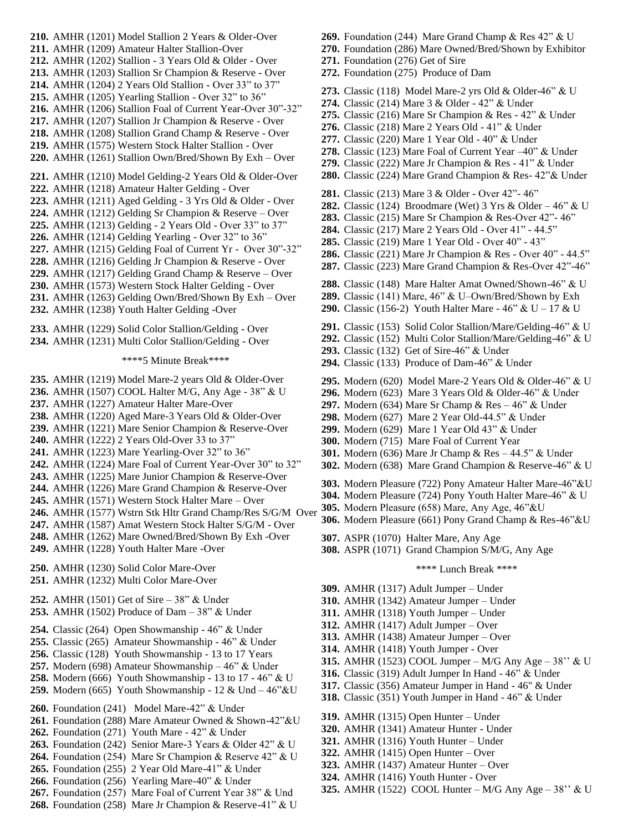- **210.** AMHR (1201) Model Stallion 2 Years & Older-Over
- **211.** AMHR (1209) Amateur Halter Stallion-Over
- **212.** AMHR (1202) Stallion 3 Years Old & Older Over
- **213.** AMHR (1203) Stallion Sr Champion & Reserve Over
- **214.** AMHR (1204) 2 Years Old Stallion Over 33" to 37"
- **215.** AMHR (1205) Yearling Stallion Over 32" to 36"
- **216.** AMHR (1206) Stallion Foal of Current Year-Over 30"-32"
- **217.** AMHR (1207) Stallion Jr Champion & Reserve Over
- **218.** AMHR (1208) Stallion Grand Champ & Reserve Over
- **219.** AMHR (1575) Western Stock Halter Stallion Over
- **220.** AMHR (1261) Stallion Own/Bred/Shown By Exh Over
- **221.** AMHR (1210) Model Gelding-2 Years Old & Older-Over
- **222.** AMHR (1218) Amateur Halter Gelding Over
- **223.** AMHR (1211) Aged Gelding 3 Yrs Old & Older Over
- **224.** AMHR (1212) Gelding Sr Champion & Reserve Over
- **225.** AMHR (1213) Gelding 2 Years Old Over 33" to 37"
- **226.** AMHR (1214) Gelding Yearling Over 32" to 36" **227.** AMHR (1215) Gelding Foal of Current Yr - Over 30"-32"
- **228.** AMHR (1216) Gelding Jr Champion & Reserve Over
- **229.** AMHR (1217) Gelding Grand Champ & Reserve Over
- **230.** AMHR (1573) Western Stock Halter Gelding Over
- **231.** AMHR (1263) Gelding Own/Bred/Shown By Exh Over
- **232.** AMHR (1238) Youth Halter Gelding -Over
- 
- **233.** AMHR (1229) Solid Color Stallion/Gelding Over
- **234.** AMHR (1231) Multi Color Stallion/Gelding Over

\*\*\*\*5 Minute Break\*\*\*\*

- **235.** AMHR (1219) Model Mare-2 years Old & Older-Over
- **236.** AMHR (1507) COOL Halter M/G, Any Age 38" & U
- **237.** AMHR (1227) Amateur Halter Mare-Over
- **238.** AMHR (1220) Aged Mare-3 Years Old & Older-Over
- **239.** AMHR (1221) Mare Senior Champion & Reserve-Over
- **240.** AMHR (1222) 2 Years Old-Over 33 to 37"
- **241.** AMHR (1223) Mare Yearling-Over 32" to 36"
- **242.** AMHR (1224) Mare Foal of Current Year-Over 30" to 32"
- **243.** AMHR (1225) Mare Junior Champion & Reserve-Over
- **244.** AMHR (1226) Mare Grand Champion & Reserve-Over
- **245.** AMHR (1571) Western Stock Halter Mare Over
- **246.** AMHR (1577) Wstrn Stk Hltr Grand Champ/Res S/G/M Over
- **247.** AMHR (1587) Amat Western Stock Halter S/G/M Over
- **248.** AMHR (1262) Mare Owned/Bred/Shown By Exh -Over
- **249.** AMHR (1228) Youth Halter Mare -Over
- **250.** AMHR (1230) Solid Color Mare-Over
- **251.** AMHR (1232) Multi Color Mare-Over
- **252.** AMHR (1501) Get of Sire 38" & Under
- **253.** AMHR (1502) Produce of Dam 38" & Under
- **254.** Classic (264) Open Showmanship 46" & Under
- **255.** Classic (265) Amateur Showmanship 46" & Under
- **256.** Classic (128) Youth Showmanship 13 to 17 Years
- **257.** Modern (698) Amateur Showmanship 46" & Under
- **258.** Modern (666) Youth Showmanship 13 to 17 46" & U
- **259.** Modern (665) Youth Showmanship 12 & Und 46"&U
- **260.** Foundation (241) Model Mare-42" & Under
- **261.** Foundation (288) Mare Amateur Owned & Shown-42"&U
- **262.** Foundation (271) Youth Mare 42" & Under
- **263.** Foundation (242) Senior Mare-3 Years & Older 42" & U
- **264.** Foundation (254) Mare Sr Champion & Reserve 42" & U
- **265.** Foundation (255) 2 Year Old Mare-41" & Under
- **266.** Foundation (256) Yearling Mare-40" & Under
- **267.** Foundation (257) Mare Foal of Current Year 38" & Und
- **268.** Foundation (258) Mare Jr Champion & Reserve-41" & U
- **269.** Foundation (244) Mare Grand Champ & Res 42" & U
- **270.** Foundation (286) Mare Owned/Bred/Shown by Exhibitor
- **271.** Foundation (276) Get of Sire
- **272.** Foundation (275) Produce of Dam
- **273.** Classic (118) Model Mare-2 yrs Old & Older-46" & U
- **274.** Classic (214) Mare 3 & Older 42" & Under
- **275.** Classic (216) Mare Sr Champion & Res 42" & Under
- **276.** Classic (218) Mare 2 Years Old 41" & Under
- **277.** Classic (220) Mare 1 Year Old 40" & Under
- **278.** Classic (123) Mare Foal of Current Year –40" & Under
- **279.** Classic (222) Mare Jr Champion & Res 41" & Under
- **280.** Classic (224) Mare Grand Champion & Res- 42"& Under
- **281.** Classic (213) Mare 3 & Older Over 42"- 46"
- **282.** Classic (124) Broodmare (Wet) 3 Yrs & Older 46" & U
- **283.** Classic (215) Mare Sr Champion & Res-Over 42"- 46"
- **284.** Classic (217) Mare 2 Years Old Over 41" 44.5"
- **285.** Classic (219) Mare 1 Year Old Over 40" 43"
- **286.** Classic (221) Mare Jr Champion & Res Over 40" 44.5"
- **287.** Classic (223) Mare Grand Champion & Res-Over 42"-46"
- **288.** Classic (148) Mare Halter Amat Owned/Shown-46" & U
- **289.** Classic (141) Mare, 46" & U–Own/Bred/Shown by Exh
- **290.** Classic (156-2) Youth Halter Mare 46" & U 17 & U
- **291.** Classic (153) Solid Color Stallion/Mare/Gelding-46" & U
- **292.** Classic (152) Multi Color Stallion/Mare/Gelding-46" & U
- **293.** Classic (132) Get of Sire-46" & Under
- **294.** Classic (133) Produce of Dam-46" & Under
- **295.** Modern (620) Model Mare-2 Years Old & Older-46" & U
- **296.** Modern (623) Mare 3 Years Old & Older-46" & Under
- **297.** Modern (634) Mare Sr Champ & Res 46" & Under
- **298.** Modern (627) Mare 2 Year Old-44.5" & Under
- **299.** Modern (629) Mare 1 Year Old 43" & Under
- **300.** Modern (715) Mare Foal of Current Year
- **301.** Modern (636) Mare Jr Champ & Res 44.5" & Under
- **302.** Modern (638) Mare Grand Champion & Reserve-46" & U
- **303.** Modern Pleasure (722) Pony Amateur Halter Mare-46"&U
- **304.** Modern Pleasure (724) Pony Youth Halter Mare-46" & U
- **305.** Modern Pleasure (658) Mare, Any Age, 46"&U
- **306.** Modern Pleasure (661) Pony Grand Champ & Res-46"&U

\*\*\*\* Lunch Break \*\*\*\*

**315.** AMHR (1523) COOL Jumper – M/G Any Age – 38'' & U **316.** Classic (319) Adult Jumper In Hand - 46" & Under **317.** Classic (356) Amateur Jumper in Hand - 46" & Under **318.** Classic (351) Youth Jumper in Hand - 46" & Under

**325.** AMHR (1522) COOL Hunter – M/G Any Age – 38'' & U

**307.** ASPR (1070) Halter Mare, Any Age

**309.** AMHR (1317) Adult Jumper – Under **310.** AMHR (1342) Amateur Jumper – Under **311.** AMHR (1318) Youth Jumper – Under **312.** AMHR (1417) Adult Jumper – Over **313.** AMHR (1438) Amateur Jumper – Over **314.** AMHR (1418) Youth Jumper - Over

**319.** AMHR (1315) Open Hunter – Under **320.** AMHR (1341) Amateur Hunter - Under **321.** AMHR (1316) Youth Hunter – Under **322.** AMHR (1415) Open Hunter – Over **323.** AMHR (1437) Amateur Hunter – Over **324.** AMHR (1416) Youth Hunter - Over

**308.** ASPR (1071) Grand Champion S/M/G, Any Age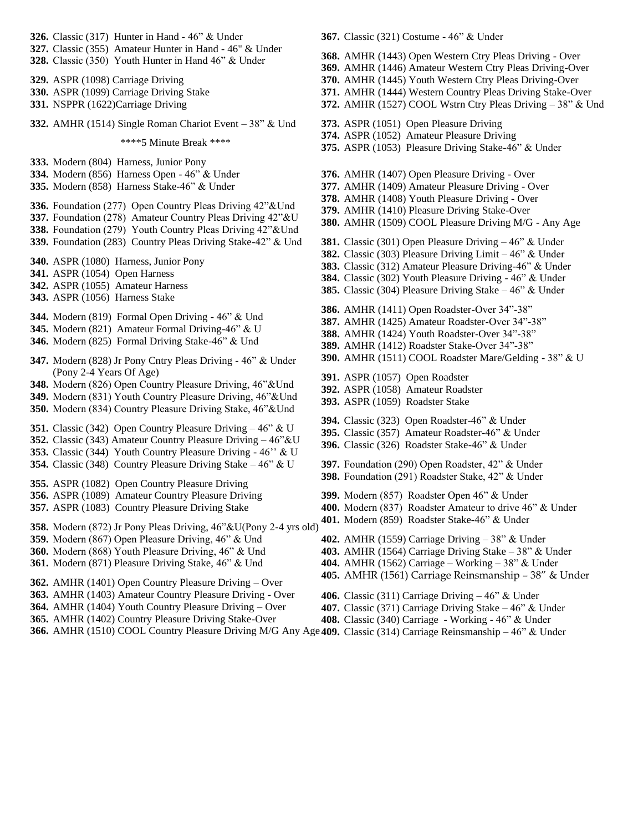- **326.** Classic (317) Hunter in Hand 46" & Under
- **327.** Classic (355) Amateur Hunter in Hand 46" & Under
- **328.** Classic (350) Youth Hunter in Hand 46" & Under
- **329.** ASPR (1098) Carriage Driving
- **330.** ASPR (1099) Carriage Driving Stake
- **331.** NSPPR (1622)Carriage Driving
- **332.** AMHR (1514) Single Roman Chariot Event 38" & Und

\*\*\*\*5 Minute Break \*\*\*\*

- **333.** Modern (804) Harness, Junior Pony
- **334.** Modern (856) Harness Open 46" & Under
- **335.** Modern (858) Harness Stake-46" & Under
- **336.** Foundation (277) Open Country Pleas Driving 42"&Und
- **337.** Foundation (278) Amateur Country Pleas Driving 42"&U
- **338.** Foundation (279) Youth Country Pleas Driving 42"&Und
- **339.** Foundation (283) Country Pleas Driving Stake-42" & Und
- **340.** ASPR (1080) Harness, Junior Pony
- **341.** ASPR (1054) Open Harness
- **342.** ASPR (1055) Amateur Harness
- **343.** ASPR (1056) Harness Stake
- **344.** Modern (819) Formal Open Driving 46" & Und
- **345.** Modern (821) Amateur Formal Driving-46" & U
- **346.** Modern (825) Formal Driving Stake-46" & Und
- **347.** Modern (828) Jr Pony Cntry Pleas Driving 46" & Under (Pony 2-4 Years Of Age)
- **348.** Modern (826) Open Country Pleasure Driving, 46"&Und
- **349.** Modern (831) Youth Country Pleasure Driving, 46"&Und
- **350.** Modern (834) Country Pleasure Driving Stake, 46"&Und
- **351.** Classic (342) Open Country Pleasure Driving 46" & U
- **352.** Classic (343) Amateur Country Pleasure Driving 46"&U
- **353.** Classic (344) Youth Country Pleasure Driving 46'' & U
- **354.** Classic (348) Country Pleasure Driving Stake 46" & U
- **355.** ASPR (1082) Open Country Pleasure Driving
- **356.** ASPR (1089) Amateur Country Pleasure Driving
- **357.** ASPR (1083) Country Pleasure Driving Stake
- **358.** Modern (872) Jr Pony Pleas Driving, 46"&U(Pony 2-4 yrs old)
- **359.** Modern (867) Open Pleasure Driving, 46" & Und
- **360.** Modern (868) Youth Pleasure Driving, 46" & Und
- **361.** Modern (871) Pleasure Driving Stake, 46" & Und
- **362.** AMHR (1401) Open Country Pleasure Driving Over
- **363.** AMHR (1403) Amateur Country Pleasure Driving Over
- **364.** AMHR (1404) Youth Country Pleasure Driving Over
- **365.** AMHR (1402) Country Pleasure Driving Stake-Over
- 
- **367.** Classic (321) Costume 46" & Under
- **368.** AMHR (1443) Open Western Ctry Pleas Driving Over
- **369.** AMHR (1446) Amateur Western Ctry Pleas Driving-Over
- **370.** AMHR (1445) Youth Western Ctry Pleas Driving-Over
- **371.** AMHR (1444) Western Country Pleas Driving Stake-Over
- **372.** AMHR (1527) COOL Wstrn Ctry Pleas Driving 38" & Und
- **373.** ASPR (1051) Open Pleasure Driving
- **374.** ASPR (1052) Amateur Pleasure Driving
- **375.** ASPR (1053) Pleasure Driving Stake-46" & Under
- **376.** AMHR (1407) Open Pleasure Driving Over
- **377.** AMHR (1409) Amateur Pleasure Driving Over
- **378.** AMHR (1408) Youth Pleasure Driving Over
- **379.** AMHR (1410) Pleasure Driving Stake-Over
- **380.** AMHR (1509) COOL Pleasure Driving M/G Any Age
- **381.** Classic (301) Open Pleasure Driving 46" & Under
- **382.** Classic (303) Pleasure Driving Limit 46" & Under
- **383.** Classic (312) Amateur Pleasure Driving-46" & Under
- **384.** Classic (302) Youth Pleasure Driving 46" & Under
- **385.** Classic (304) Pleasure Driving Stake 46" & Under
- **386.** AMHR (1411) Open Roadster-Over 34"-38"
- **387.** AMHR (1425) Amateur Roadster-Over 34"-38"
- **388.** AMHR (1424) Youth Roadster-Over 34"-38"
- **389.** AMHR (1412) Roadster Stake-Over 34"-38"
- **390.** AMHR (1511) COOL Roadster Mare/Gelding 38" & U
- **391.** ASPR (1057) Open Roadster
- **392.** ASPR (1058) Amateur Roadster
- **393.** ASPR (1059) Roadster Stake
- **394.** Classic (323) Open Roadster-46" & Under
- **395.** Classic (357) Amateur Roadster-46" & Under
- **396.** Classic (326) Roadster Stake-46" & Under
- **397.** Foundation (290) Open Roadster, 42" & Under
- **398.** Foundation (291) Roadster Stake, 42" & Under
- **399.** Modern (857) Roadster Open 46" & Under
- **400.** Modern (837) Roadster Amateur to drive 46" & Under
- **401.** Modern (859) Roadster Stake-46" & Under
- **402.** AMHR (1559) Carriage Driving 38" & Under
- **403.** AMHR (1564) Carriage Driving Stake 38" & Under
- **404.** AMHR (1562) Carriage Working 38" & Under
- **405.** AMHR (1561) Carriage Reinsmanship 38" & Under
- **406.** Classic (311) Carriage Driving 46" & Under
- **407.** Classic (371) Carriage Driving Stake 46" & Under
- **408.** Classic (340) Carriage Working 46" & Under
- **366.** AMHR (1510) COOL Country Pleasure Driving M/G Any Age **409.** Classic (314) Carriage Reinsmanship 46" & Under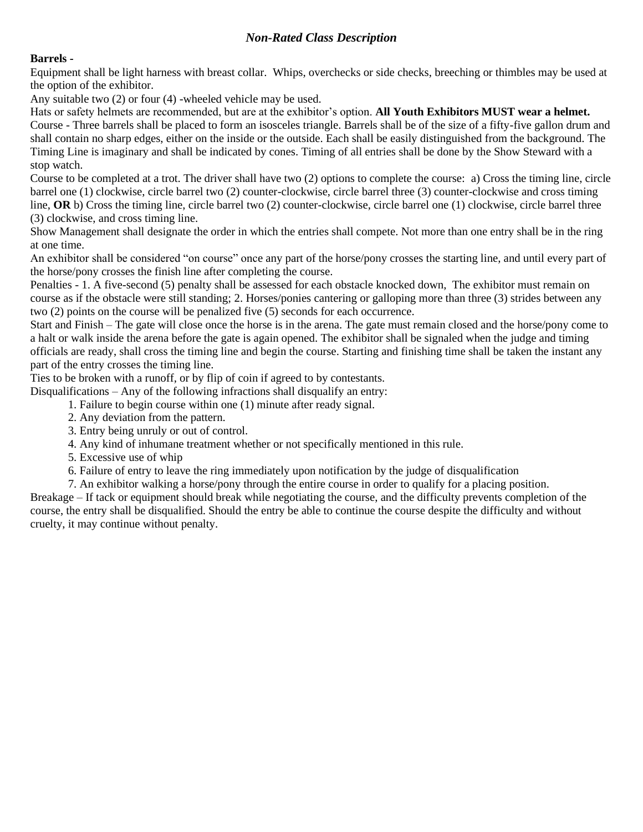#### *Non-Rated Class Description*

#### **Barrels -**

Equipment shall be light harness with breast collar. Whips, overchecks or side checks, breeching or thimbles may be used at the option of the exhibitor.

Any suitable two (2) or four (4) -wheeled vehicle may be used.

Hats or safety helmets are recommended, but are at the exhibitor's option. **All Youth Exhibitors MUST wear a helmet.** Course - Three barrels shall be placed to form an isosceles triangle. Barrels shall be of the size of a fifty-five gallon drum and shall contain no sharp edges, either on the inside or the outside. Each shall be easily distinguished from the background. The Timing Line is imaginary and shall be indicated by cones. Timing of all entries shall be done by the Show Steward with a stop watch.

Course to be completed at a trot. The driver shall have two (2) options to complete the course: a) Cross the timing line, circle barrel one (1) clockwise, circle barrel two (2) counter-clockwise, circle barrel three (3) counter-clockwise and cross timing line, **OR** b) Cross the timing line, circle barrel two (2) counter-clockwise, circle barrel one (1) clockwise, circle barrel three (3) clockwise, and cross timing line.

Show Management shall designate the order in which the entries shall compete. Not more than one entry shall be in the ring at one time.

An exhibitor shall be considered "on course" once any part of the horse/pony crosses the starting line, and until every part of the horse/pony crosses the finish line after completing the course.

Penalties - 1. A five-second (5) penalty shall be assessed for each obstacle knocked down, The exhibitor must remain on course as if the obstacle were still standing; 2. Horses/ponies cantering or galloping more than three (3) strides between any two (2) points on the course will be penalized five (5) seconds for each occurrence.

Start and Finish – The gate will close once the horse is in the arena. The gate must remain closed and the horse/pony come to a halt or walk inside the arena before the gate is again opened. The exhibitor shall be signaled when the judge and timing officials are ready, shall cross the timing line and begin the course. Starting and finishing time shall be taken the instant any part of the entry crosses the timing line.

Ties to be broken with a runoff, or by flip of coin if agreed to by contestants.

Disqualifications – Any of the following infractions shall disqualify an entry:

1. Failure to begin course within one (1) minute after ready signal.

- 2. Any deviation from the pattern.
- 3. Entry being unruly or out of control.
- 4. Any kind of inhumane treatment whether or not specifically mentioned in this rule.
- 5. Excessive use of whip
- 6. Failure of entry to leave the ring immediately upon notification by the judge of disqualification

7. An exhibitor walking a horse/pony through the entire course in order to qualify for a placing position. Breakage – If tack or equipment should break while negotiating the course, and the difficulty prevents completion of the

course, the entry shall be disqualified. Should the entry be able to continue the course despite the difficulty and without cruelty, it may continue without penalty.